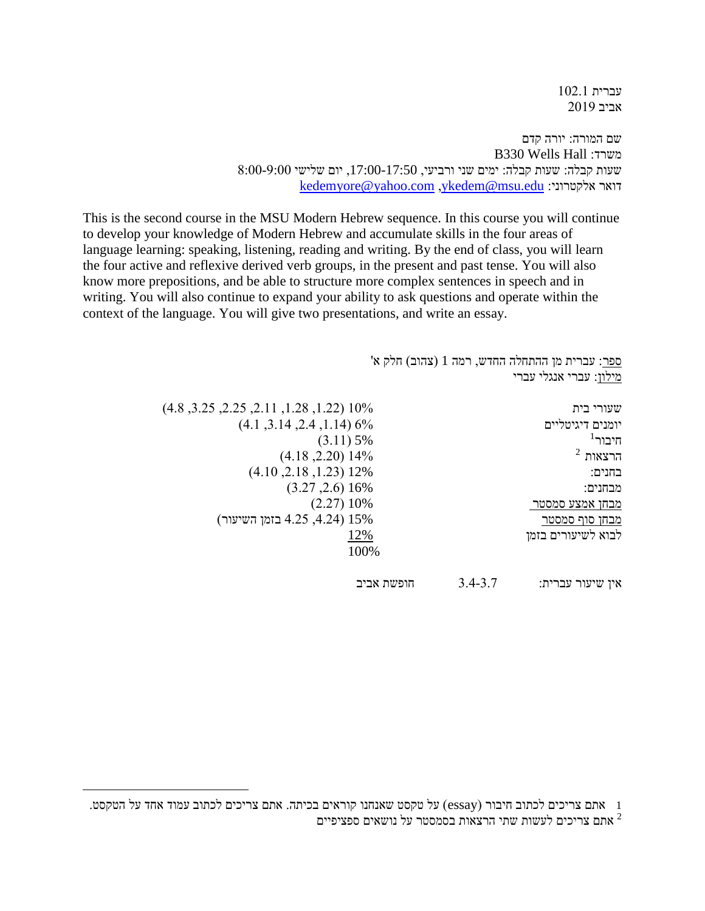עברית 102.1 אביב 2019

שם המורה: יורה קדם B330 Wells Hall :משרד שעות קבלה: שעות קבלה: ימים שני ורביעי, ,17:00-17:50 יום שלישי 8:00-9:00 [kedemyore@yahoo.com](mailto:kedemyore@yahoo.com) [,ykedem@msu.edu](mailto:ykedem@msu.edu) :אלקטרוני דואר

This is the second course in the MSU Modern Hebrew sequence. In this course you will continue to develop your knowledge of Modern Hebrew and accumulate skills in the four areas of language learning: speaking, listening, reading and writing. By the end of class, you will learn the four active and reflexive derived verb groups, in the present and past tense. You will also know more prepositions, and be able to structure more complex sentences in speech and in writing. You will also continue to expand your ability to ask questions and operate within the context of the language. You will give two presentations, and write an essay.

> ספר: עברית מן ההתחלה החדש, רמה 1 (צהוב) חלק א' מילון: עברי אנגלי עברי שעורי בית 10% ),1.22 ,1.28 ,2.11 ,2.25 ,3.25 4.8( יומנים דיגיטליים 6% ),1.14 ,2.4 ,3.14 4.1(  $1$ תיבור $\pi$  $(3.11)$  5%  $\%$  הרצאות  $^2$  הרצאות  $^2$  $(4.18, 2.20)$  14% בחנים: 12% ),1.23 ,2.18 4.10( מבחנים: 16% ),2.6 3.27( מבחן אמצע סמסטר  $(2.27)$  10% ו מבחן סוף סמסטר 15% ),4.24 4.25 בזמן השיעור( לבוא לשיעורים בזמן 12% 100% אין שיעור עברית: 3.4-3.7 חופשת אביב

1 אתם צריכים לכתוב חיבור )essay )על טקסט שאנחנו קוראים בכיתה. אתם צריכים לכתוב עמוד אחד על הטקסט. אתם צריכים לעשות שתי הרצאות בסמסטר על נושאים ספציפיים  $^{\,2}$ 

 $\overline{a}$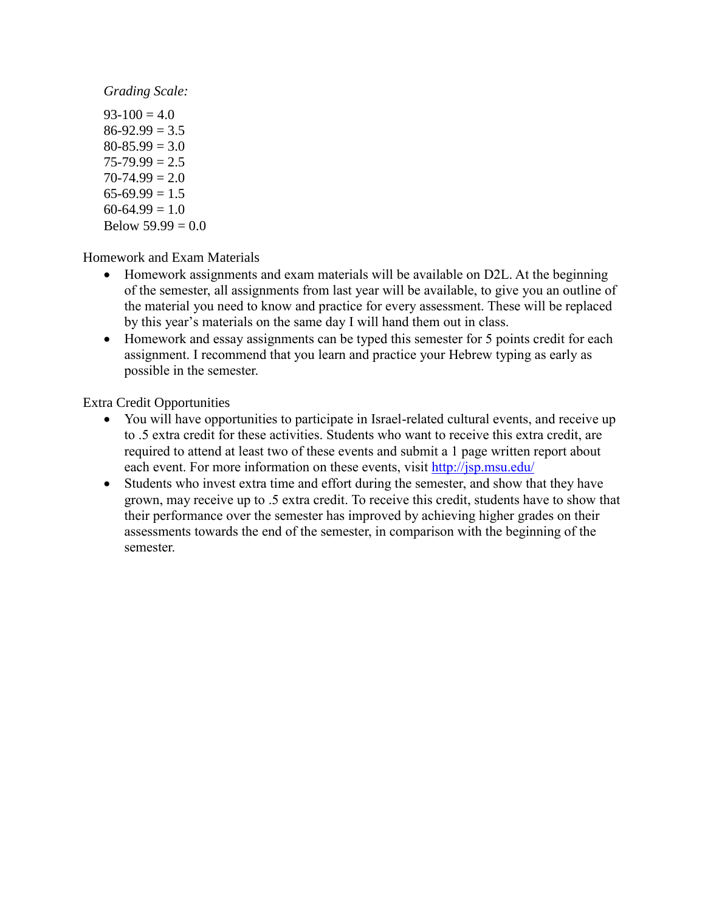*Grading Scale:*

 $93-100 = 4.0$  $86-92.99 = 3.5$  $80 - 85.99 = 3.0$  $75 - 79.99 = 2.5$  $70-74.99 = 2.0$  $65-69.99 = 1.5$  $60-64.99 = 1.0$ Below  $59.99 = 0.0$ 

Homework and Exam Materials

- Homework assignments and exam materials will be available on D2L. At the beginning of the semester, all assignments from last year will be available, to give you an outline of the material you need to know and practice for every assessment. These will be replaced by this year's materials on the same day I will hand them out in class.
- Homework and essay assignments can be typed this semester for 5 points credit for each assignment. I recommend that you learn and practice your Hebrew typing as early as possible in the semester.

Extra Credit Opportunities

- You will have opportunities to participate in Israel-related cultural events, and receive up to .5 extra credit for these activities. Students who want to receive this extra credit, are required to attend at least two of these events and submit a 1 page written report about each event. For more information on these events, visit<http://jsp.msu.edu/>
- Students who invest extra time and effort during the semester, and show that they have grown, may receive up to .5 extra credit. To receive this credit, students have to show that their performance over the semester has improved by achieving higher grades on their assessments towards the end of the semester, in comparison with the beginning of the semester.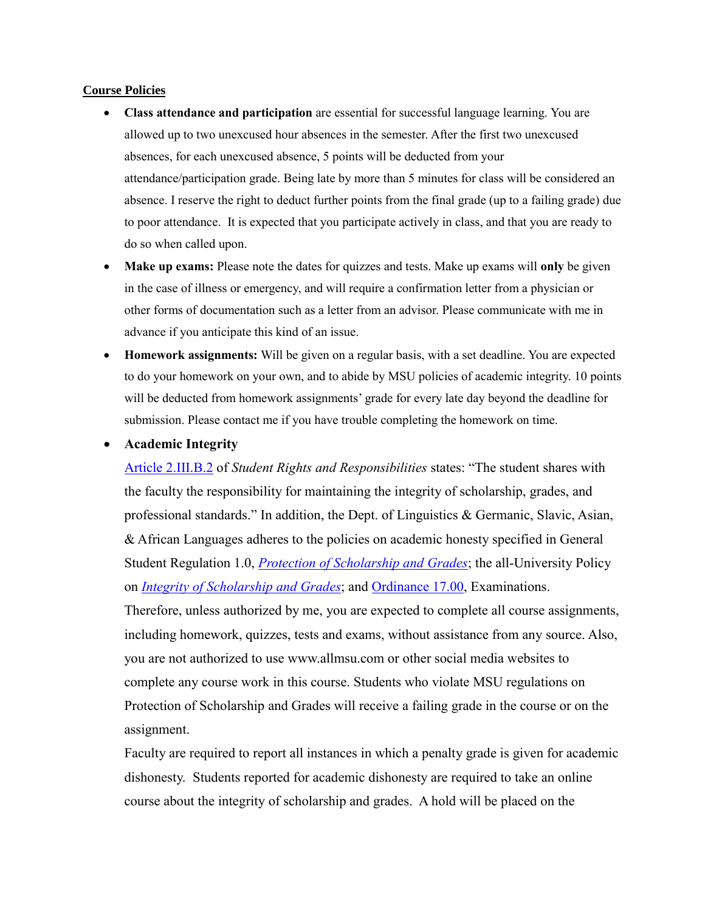## **Course Policies**

- **Class attendance and participation** are essential for successful language learning. You are allowed up to two unexcused hour absences in the semester. After the first two unexcused absences, for each unexcused absence, 5 points will be deducted from your attendance/participation grade. Being late by more than 5 minutes for class will be considered an absence. I reserve the right to deduct further points from the final grade (up to a failing grade) due to poor attendance. It is expected that you participate actively in class, and that you are ready to do so when called upon.
- **Make up exams:** Please note the dates for quizzes and tests. Make up exams will **only** be given in the case of illness or emergency, and will require a confirmation letter from a physician or other forms of documentation such as a letter from an advisor. Please communicate with me in advance if you anticipate this kind of an issue.
- **Homework assignments:** Will be given on a regular basis, with a set deadline. You are expected to do your homework on your own, and to abide by MSU policies of academic integrity. 10 points will be deducted from homework assignments' grade for every late day beyond the deadline for submission. Please contact me if you have trouble completing the homework on time.
- **Academic Integrity**

[Article 2.III.B.2](http://splife.studentlife.msu.edu/academic-freedom-for-students-at-michigan-state-university/article-2-academic-rights-and-responsibilities) of *Student Rights and Responsibilities* states: "The student shares with the faculty the responsibility for maintaining the integrity of scholarship, grades, and professional standards." In addition, the Dept. of Linguistics & Germanic, Slavic, Asian, & African Languages adheres to the policies on academic honesty specified in General Student Regulation 1.0, *[Protection of Scholarship and Grades](http://splife.studentlife.msu.edu/regulations/general-student-regulations)*; the all-University Policy on *[Integrity of Scholarship and Grades](http://www.reg.msu.edu/AcademicPrograms/Print.asp?Section=534)*; and [Ordinance 17.00,](http://splife.studentlife.msu.edu/regulations/student-group-regulations-administrative-rulings-all-university-policies-and-selected-ordinances/examinations-ordinance-17-00) Examinations. Therefore, unless authorized by me, you are expected to complete all course assignments, including homework, quizzes, tests and exams, without assistance from any source. Also, you are not authorized to use www.allmsu.com or other social media websites to

complete any course work in this course. Students who violate MSU regulations on Protection of Scholarship and Grades will receive a failing grade in the course or on the assignment.

Faculty are required to report all instances in which a penalty grade is given for academic dishonesty. Students reported for academic dishonesty are required to take an online course about the integrity of scholarship and grades. A hold will be placed on the